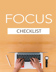# CHECKLIST

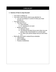## **CHECKLIST**

#### ● **Science of how to stay focused**

- o Your brain is always on
- o Your brain must choose what to pay attention to
	- You are not always in control of what your brain focuses on
- o Two types of focus
	- Top-down focus
		- Goal oriented
		- Ex: studying for an exam
	- Bottom-up focus
		- Stimulus driven
		- Can disrupt top-down focus even when you are trying to stay concentrated on a certain goal
		- Ex: when your phone beeps and you look down at it
- o Work with your brain's natural focus schedule
	- Take breaks
	- Don't multitask
	- Practice mindfulness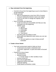### ● **Stay motivated from the beginning**  o Commit to focus from the beginning so you're more likely to not get distracted o Pareto principle ▪ 80% of consequences come from 20% of causes ▪ Unequal relationship between inputs and outputs ▪ Focus on the 20% to change the majority of the outcomes  $\circ$  How to set goals and objectives ▪ Goals can hold you accountable and help you stay motivated from the beginning ▪ SMART goals ● Specific ● Measurable ● Achievable ● Relevant ● Time-bound • Set daily goals according to need ▪ Write goals and objectives down where you can see them later ● Use your goals as a way to keep yourself motivated **Create a focus haven** o Your work environment needs to help you focus ▪ A distracted area leads to distracted work ▪ A focused, organized, or quiet area leads to focused work o Features of a focus haven No distractions **Minimal sounds** ● Except classic or other wordless music ▪ Devices turned off ▪ Door shut (if applicable) ▪ Organized shelves and desk ▪ Adequate lighting ▪ Goals placed somewhere visible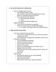#### ● **Do not let devices be a distraction**

- o How to manage tools for focus
	- Use "Do Not Disturb" mode
	- Use website or app blocking applications on your phone or computer during work hours
	- Only use devices that aid focus
		- Work-necessary devices
		- Timers
		- Noise-cancelling headphones
- o Digital minimalism
	- Try to use as few devices as possible
	- Switch out your device for another application
		- Ex: switch your phone alarm for a physical timer

#### ● **Take control of your time**

- $\circ$  You are in control of your own time
	- If you do not recognize this fact, you will not be able to manage your time
	- Learn what time management techniques work for you
- o Pomodoro technique
	- Time management technique
	- Decide on a task to work on
	- Put on timer for 25 minutes
	- Work for 25 minutes
	- Rest for 5 minutes after the 25 minutes are up
	- Repeat three more times
	- After the fourth 25-minute working interval, rest for 15- 30 minutes
	- Start over
- o "Eat the frog"
	- Start with the tasks you are most dreading
	- **•** Prevents procrastination
	- Gets it out of the way
	- Will make the rest of your day go smoother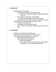#### ● **Single-task**

- o Multitasking is not possible
	- Our brains can only do one thing at once
		- With the exception of autopilot tasks like listening to music
	- Most people "serial" task, not multitask
		- When they jump from task to task quickly
	- Will break focus and take more time to finish your work
- o Single-tasking involves doing one task at a time
	- **Decide on one task to do**
	- Complete task all the way through
	- Do not move on to another task until you finish the first one

#### ● **Take breaks**

- o Breaks are necessary to stay focused
- o Our brains can only work for one hour at a time
- o Schedule breaks throughout your work day
	- **·** Take breaks at least every hour
	- Use the pomodoro technique
		- Build concentration
		- Start with 25-minute work intervals and increase the time as your concentration improves